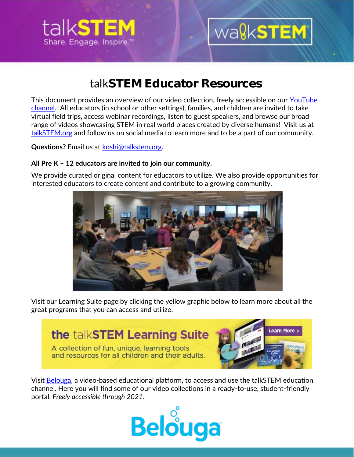

## wa**gkSTEM**

## talk**STEM Educator Resources**

This document provides an overview of our video collection, freely accessible on our [YouTube](https://www.youtube.com/channel/UCnTcH8GQR3b8-CNvzbzsyUQ)  [channel.](https://www.youtube.com/channel/UCnTcH8GQR3b8-CNvzbzsyUQ) All educators (in school or other settings), families, and children are invited to take virtual field trips, access webinar recordings, listen to guest speakers, and browse our broad range of videos showcasing STEM in real world places created by diverse humans! Visit us at [talkSTEM.org](http://www.talkstem.org/) and follow us on social media to learn more and to be a part of our community.

**Questions?** Email us at [koshi@talkstem.org.](mailto:koshi@talkstem.org)

### **All Pre K – 12 educators are invited to join our community**.

We provide curated original content for educators to utilize. We also provide opportunities for interested educators to create content and contribute to a growing community.



Visit our Learning Suite page by clicking the yellow graphic below to learn more about all the great programs that you can access and utilize.

### the talkSTEM Learning Suite

A collection of fun, unique, learning tools and resources for all children and their adults.



Visit [Belouga,](https://belouga.org/) a video-based educational platform, to access and use the talkSTEM education channel. Here you will find some of our video collections in a ready-to-use, student-friendly portal. *Freely accessible through 2021.*

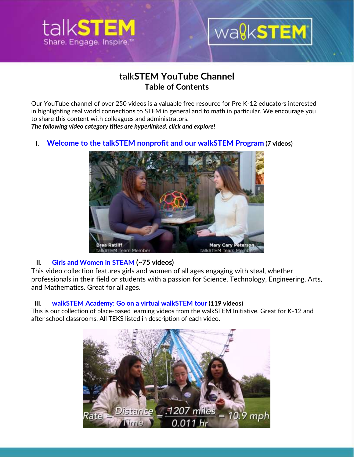

## wa**gkSTEM**

### talk**STEM YouTube Channel Table of Contents**

Our YouTube channel of over 250 videos is a valuable free resource for Pre K-12 educators interested in highlighting real world connections to STEM in general and to math in particular. We encourage you to share this content with colleagues and administrators.

*The following video category titles are hyperlinked, click and explore!*

 **I. Welcome to the talkSTEM nonprofit and our [walkSTEM](https://www.youtube.com/playlist?list=PLOibICAocP-C6tWqYaQaH2Q26YZAft7Nd) Program (7 videos)**



### **II. Girls and [Women](https://www.youtube.com/c/talkSTEM/playlists?view=50&sort=dd&shelf_id=2) in STEAM (~75 videos)**

This video collection features girls and women of all ages engaging with steal, whether professionals in their field or students with a passion for Science, Technology, Engineering, Arts, and Mathematics. Great for all ages.

### **III. walkSTEM Academy: Go on a virtual [walkSTEM](https://www.youtube.com/c/talkSTEM/playlists?view=50&sort=dd&shelf_id=3) tour (119 videos)**

This is our collection of place-based learning videos from the walkSTEM Initiative. Great for K-12 and after school classrooms. All TEKS listed in description of each video.

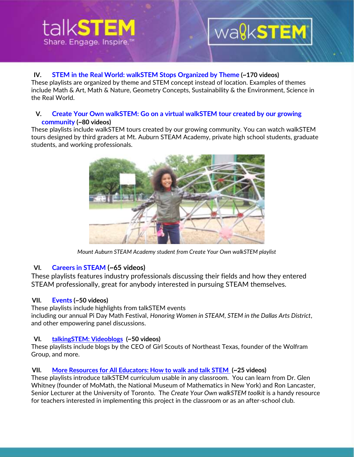# Share, Engage, Inspire

## wagkSTEM

### **IV. STEM in the Real World: [walkSTEM](https://www.youtube.com/c/talkSTEM/playlists?view=50&sort=dd&shelf_id=4) Stops Organized by Theme (~170 videos)**

These playlists are organized by theme and STEM concept instead of location. Examples of themes include Math & Art, Math & Nature, Geometry Concepts, Sustainability & the Environment, Science in the Real World.

#### **V. Create Your Own [walkSTEM:](https://www.youtube.com/c/talkSTEM/playlists?view=50&sort=dd&shelf_id=5) Go on a virtual walkSTEM tour created by our growing [community](https://www.youtube.com/c/talkSTEM/playlists?view=50&sort=dd&shelf_id=5) (~80 videos)**

These playlists include walkSTEM tours created by our growing community. You can watch walkSTEM tours designed by third graders at Mt. Auburn STEAM Academy, private high school students, graduate students, and working professionals.



*Mount Auburn STEAM Academy student from Create Your Own walkSTEM playlist*

### **VI. [Careers](https://www.youtube.com/c/talkSTEM/playlists?view=50&sort=dd&shelf_id=6) in STEAM (~65 videos)**

These playlists features industry professionals discussing their fields and how they entered STEAM professionally, great for anybody interested in pursuing STEAM themselves.

### **VII. [Events](https://www.youtube.com/c/talkSTEM/playlists?view=50&sort=dd&shelf_id=7) (~50 videos)**

These playlists include highlights from talkSTEM events including our annual Pi Day Math Festival, *Honoring Women in STEAM*, *STEM in the Dallas Arts District*, and other empowering panel discussions.

### **VI. [talkingSTEM: Videoblogs](https://www.youtube.com/c/talkSTEM/playlists?view=50&sort=dd&shelf_id=8) (~50 videos)**

These playlists include blogs by the CEO of Girl Scouts of Northeast Texas, founder of the Wolfram Group, and more.

### **VII. [More Resources for All Educators: How to walk and talk STEM](https://www.youtube.com/c/talkSTEM/playlists?view=50&sort=dd&shelf_id=9) (~25 videos)**

These playlists introduce talkSTEM curriculum usable in any classroom. You can learn from Dr. Glen Whitney (founder of MoMath, the National Museum of Mathematics in New York) and Ron Lancaster, Senior Lecturer at the University of Toronto. The *Create Your Own walkSTEM toolkit* is a handy resource for teachers interested in implementing this project in the classroom or as an after-school club.